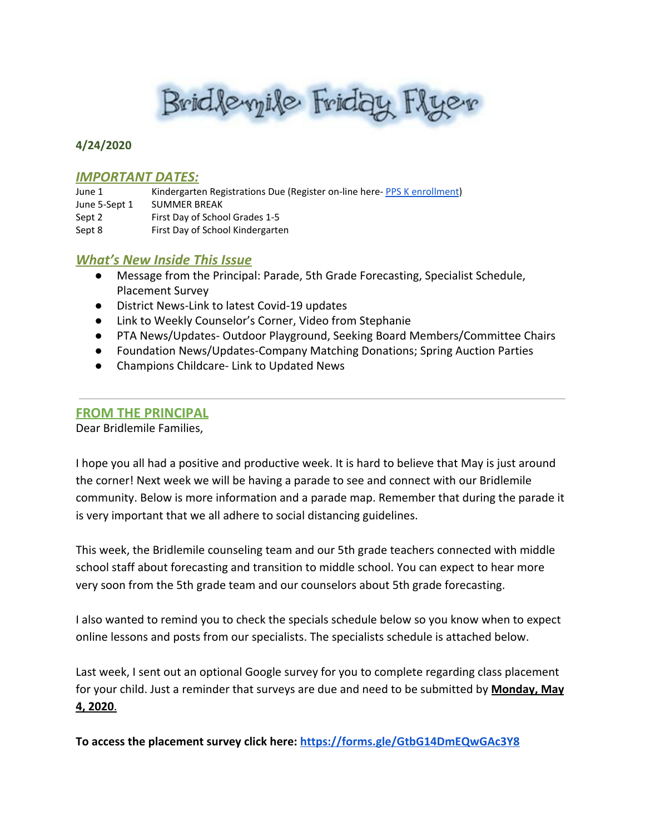Brid levyile Friday Flyer

# **4/24/2020**

#### *IMPORTANT DATES:*

- June 1 Kindergarten Registrations Due (Register on-line here- PPS K [enrollment\)](https://www.pps.net/Page/2899)
- June 5-Sept 1 SUMMER BREAK
- Sept 2 First Day of School Grades 1-5
- Sept 8 First Day of School Kindergarten

### *What's New Inside This Issue*

- Message from the Principal: Parade, 5th Grade Forecasting, Specialist Schedule, Placement Survey
- District News-Link to latest Covid-19 updates
- Link to Weekly Counselor's Corner, Video from Stephanie
- PTA News/Updates- Outdoor Playground, Seeking Board Members/Committee Chairs
- Foundation News/Updates-Company Matching Donations; Spring Auction Parties
- Champions Childcare- Link to Updated News

# **FROM THE PRINCIPAL**

Dear Bridlemile Families,

I hope you all had a positive and productive week. It is hard to believe that May is just around the corner! Next week we will be having a parade to see and connect with our Bridlemile community. Below is more information and a parade map. Remember that during the parade it is very important that we all adhere to social distancing guidelines.

This week, the Bridlemile counseling team and our 5th grade teachers connected with middle school staff about forecasting and transition to middle school. You can expect to hear more very soon from the 5th grade team and our counselors about 5th grade forecasting.

I also wanted to remind you to check the specials schedule below so you know when to expect online lessons and posts from our specialists. The specialists schedule is attached below.

Last week, I sent out an optional Google survey for you to complete regarding class placement for your child. Just a reminder that surveys are due and need to be submitted by **Monday, May 4, 2020**.

**To access the placement survey click here: <https://forms.gle/GtbG14DmEQwGAc3Y8>**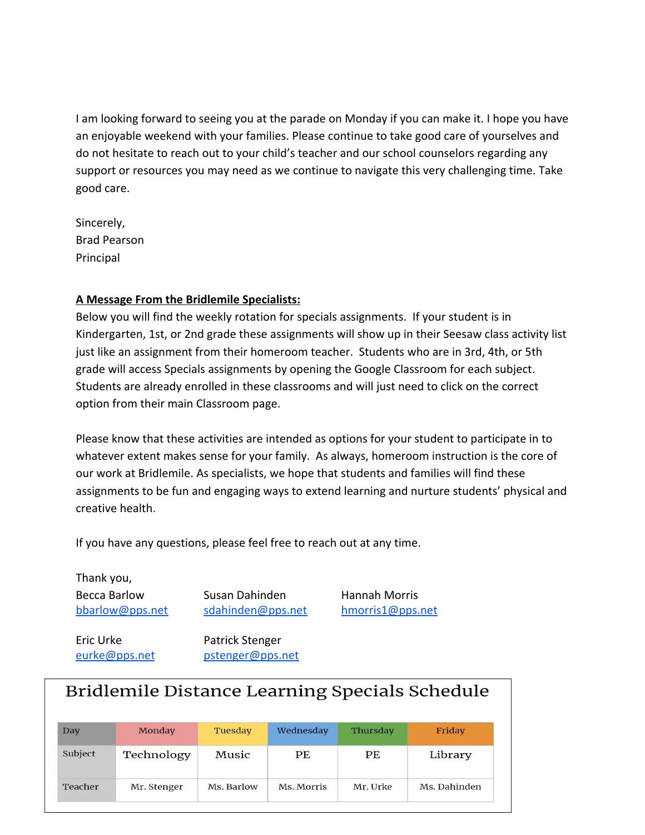I am looking forward to seeing you at the parade on Monday if you can make it. I hope you have an enjoyable weekend with your families. Please continue to take good care of yourselves and do not hesitate to reach out to your child's teacher and our school counselors regarding any support or resources you may need as we continue to navigate this very challenging time. Take good care.

Sincerely, Brad Pearson Principal

# **A Message From the Bridlemile Specialists:**

Below you will find the weekly rotation for specials assignments. If your student is in Kindergarten, 1st, or 2nd grade these assignments will show up in their Seesaw class activity list just like an assignment from their homeroom teacher. Students who are in 3rd, 4th, or 5th grade will access Specials assignments by opening the Google Classroom for each subject. Students are already enrolled in these classrooms and will just need to click on the correct option from their main Classroom page.

Please know that these activities are intended as options for your student to participate in to whatever extent makes sense for your family. As always, homeroom instruction is the core of our work at Bridlemile. As specialists, we hope that students and families will find these assignments to be fun and engaging ways to extend learning and nurture students' physical and creative health.

If you have any questions, please feel free to reach out at any time.

Thank you,

Becca Barlow Susan Dahinden Hannah Morris [bbarlow@pps.net](mailto:bbarlow@pps.net) [sdahinden@pps.net](mailto:sdahinden@pps.net) [hmorris1@pps.net](mailto:hmorris1@pps.net)

Eric Urke Patrick Stenger [eurke@pps.net](mailto:eurke@pps.net) [pstenger@pps.net](mailto:pstenger@pps.net)

|     | Bridlemile Distance Learning Specials Schedule |         |           |          |        |  |
|-----|------------------------------------------------|---------|-----------|----------|--------|--|
| Day | Monday                                         | Tuesday | Wednesday | Thursday | Friday |  |

| Day     | Monday      | Tuesday    | Wednesday  | Thursday | Friday       |
|---------|-------------|------------|------------|----------|--------------|
| Subject | Technology  | Music      | PE         | PE       | Library      |
| Teacher | Mr. Stenger | Ms. Barlow | Ms. Morris | Mr. Urke | Ms. Dahinden |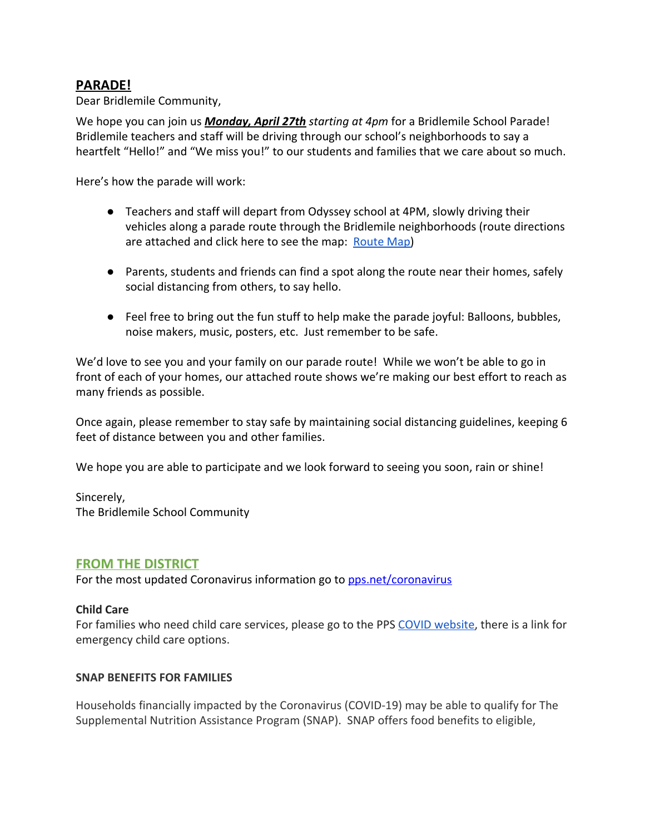# **PARADE!**

Dear Bridlemile Community,

We hope you can join us *Monday, April 27th starting at 4pm* for a Bridlemile School Parade! Bridlemile teachers and staff will be driving through our school's neighborhoods to say a heartfelt "Hello!" and "We miss you!" to our students and families that we care about so much.

Here's how the parade will work:

- Teachers and staff will depart from Odyssey school at 4PM, slowly driving their vehicles along a parade route through the Bridlemile neighborhoods (route directions are attached and click here to see the map: [Route Map\)](https://drive.google.com/open?id=1YUS637pDqY8bmQcN_VNoodDF1LTGtpVU&usp=sharing%20%20Attachments%20area)
- Parents, students and friends can find a spot along the route near their homes, safely social distancing from others, to say hello.
- Feel free to bring out the fun stuff to help make the parade joyful: Balloons, bubbles, noise makers, music, posters, etc. Just remember to be safe.

We'd love to see you and your family on our parade route! While we won't be able to go in front of each of your homes, our attached route shows we're making our best effort to reach as many friends as possible.

Once again, please remember to stay safe by maintaining social distancing guidelines, keeping 6 feet of distance between you and other families.

We hope you are able to participate and we look forward to seeing you soon, rain or shine!

Sincerely, The Bridlemile School Community

# **FROM THE DISTRICT**

For the most updated Coronavirus information go to [pps.net/coronavirus](http://track.spe.schoolmessenger.com/f/a/oZfGYFGWlPSuz04Ea4-9gA~~/AAAAAQA~/RgRgZlDRP0QfaHR0cHM6Ly93d3cucHBzLm5ldC9jb3JvbmF2aXJ1c1cHc2Nob29sbUIKAABRHYVennNdt1IURnJlY2tsZTFAY29tY2FzdC5uZXRYBAAAAAE~)

### **Child Care**

For families who need child care services, please go to the PPS [COVID website,](https://www.pps.net/coronavirus) there is a link for emergency child care options.

### **SNAP BENEFITS FOR FAMILIES**

Households financially impacted by the Coronavirus (COVID-19) may be able to qualify for The Supplemental Nutrition Assistance Program (SNAP). SNAP offers food benefits to eligible,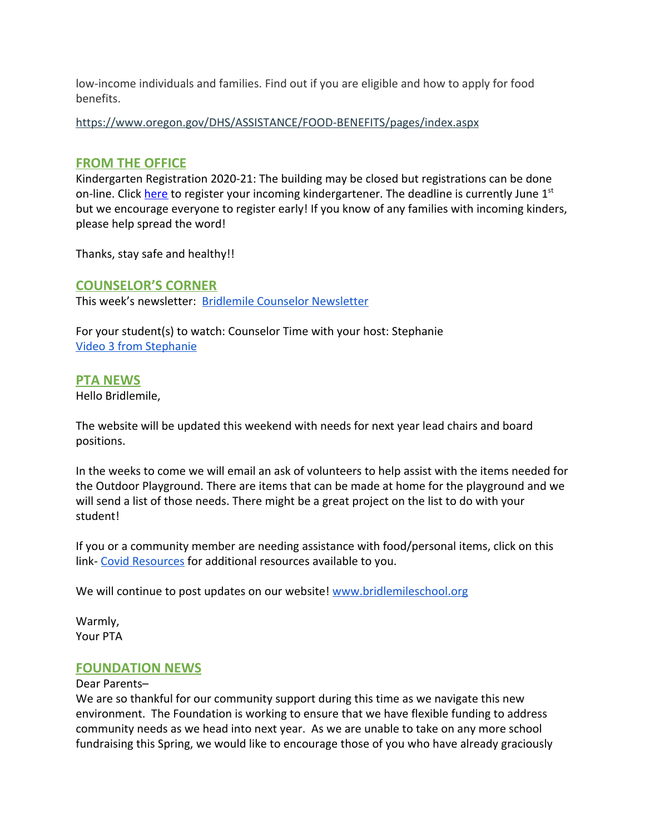low-income individuals and families. Find out if you are eligible and how to apply for food benefits.

<https://www.oregon.gov/DHS/ASSISTANCE/FOOD-BENEFITS/pages/index.aspx>

# **FROM THE OFFICE**

Kindergarten Registration 2020-21: The building may be closed but registrations can be done on-line. Click [here](https://www.pps.net/Page/2899) to register your incoming kindergartener. The deadline is currently June  $1<sup>st</sup>$ but we encourage everyone to register early! If you know of any families with incoming kinders, please help spread the word!

Thanks, stay safe and healthy!!

# **COUNSELOR'S CORNER**

This week's newsletter: [Bridlemile Counselor Newsletter](https://docs.google.com/document/d/1grFzuYzlVK_vqwuEOc2ADa_nTXv2VaCfgoS1__QSZR4/edit?usp=sharing)

For your student(s) to watch: Counselor Time with your host: Stephanie [Video 3 from Stephanie](https://drive.google.com/open?id=1_JZ0FbrtgPAhr1eMDqX-lMzT0IZcUffQ)

### **PTA NEWS**

Hello Bridlemile,

The website will be updated this weekend with needs for next year lead chairs and board positions.

In the weeks to come we will email an ask of volunteers to help assist with the items needed for the Outdoor Playground. There are items that can be made at home for the playground and we will send a list of those needs. There might be a great project on the list to do with your student!

If you or a community member are needing assistance with food/personal items, click on this link- [Covid Resources](https://drive.google.com/file/d/1JfPAhSCg3JPFRGRDofY_1dgcG0hsceKr/view) for additional resources available to you.

We will continue to post updates on our website! [www.bridlemileschool.org](http://www.bridlemileschool.org/)

Warmly, Your PTA

### **FOUNDATION NEWS**

#### Dear Parents–

We are so thankful for our community support during this time as we navigate this new environment. The Foundation is working to ensure that we have flexible funding to address community needs as we head into next year. As we are unable to take on any more school fundraising this Spring, we would like to encourage those of you who have already graciously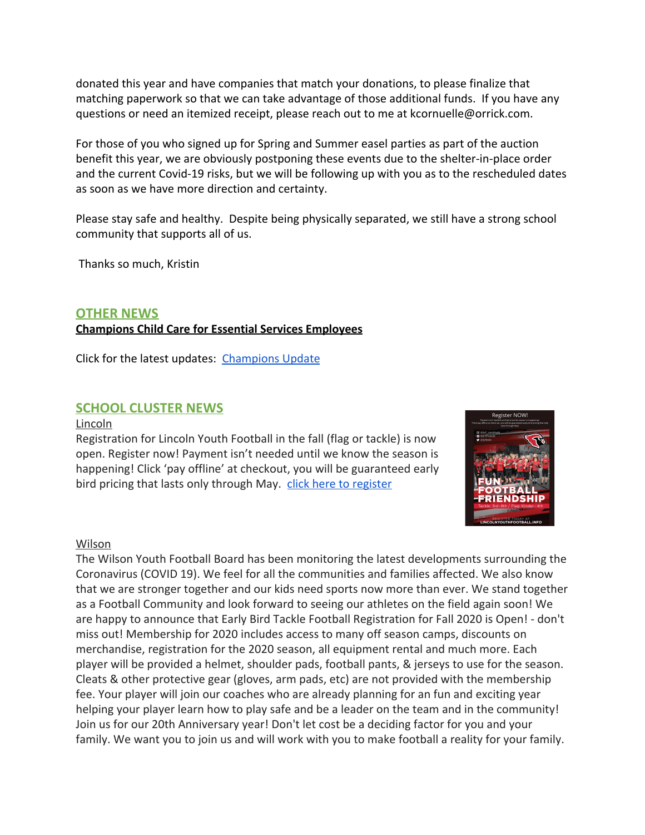donated this year and have companies that match your donations, to please finalize that matching paperwork so that we can take advantage of those additional funds. If you have any questions or need an itemized receipt, please reach out to me at kcornuelle@orrick.com.

For those of you who signed up for Spring and Summer easel parties as part of the auction benefit this year, we are obviously postponing these events due to the shelter-in-place order and the current Covid-19 risks, but we will be following up with you as to the rescheduled dates as soon as we have more direction and certainty.

Please stay safe and healthy. Despite being physically separated, we still have a strong school community that supports all of us.

Thanks so much, Kristin

# **OTHER NEWS**

#### **Champions Child Care for Essential Services Employees**

Click for the latest updates: [Champions Update](https://drive.google.com/file/d/1q1fgsD7klBAfV6cWHGo935IvS04vEP1C/view)

# **SCHOOL CLUSTER NEWS**

#### Lincoln

Registration for Lincoln Youth Football in the fall (flag or tackle) is now open. Register now! Payment isn't needed until we know the season is happening! Click 'pay offline' at checkout, you will be guaranteed early bird pricing that lasts only through May. [click here to register](https://www.lincolnyouthfootball.info/)



#### Wilson

The Wilson Youth Football Board has been monitoring the latest developments surrounding the Coronavirus (COVID 19). We feel for all the communities and families affected. We also know that we are stronger together and our kids need sports now more than ever. We stand together as a Football Community and look forward to seeing our athletes on the field again soon! We are happy to announce that Early Bird Tackle Football Registration for Fall 2020 is Open! - don't miss out! Membership for 2020 includes access to many off season camps, discounts on merchandise, registration for the 2020 season, all equipment rental and much more. Each player will be provided a helmet, shoulder pads, football pants, & jerseys to use for the season. Cleats & other protective gear (gloves, arm pads, etc) are not provided with the membership fee. Your player will join our coaches who are already planning for an fun and exciting year helping your player learn how to play safe and be a leader on the team and in the community! Join us for our 20th Anniversary year! Don't let cost be a deciding factor for you and your family. We want you to join us and will work with you to make football a reality for your family.